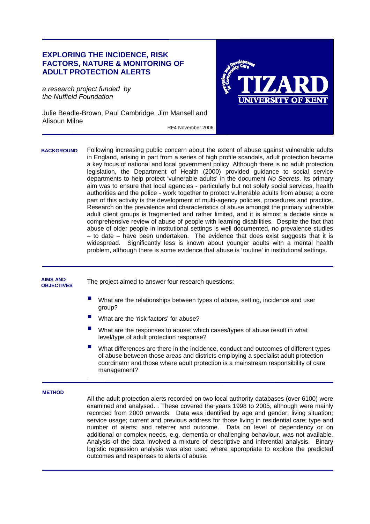## **EXPLORING THE INCIDENCE, RISK FACTORS, NATURE & MONITORING OF ADULT PROTECTION ALERTS**

*a research project funded by the Nuffield Foundation* 

j

Julie Beadle-Brown, Paul Cambridge, Jim Mansell and Alisoun Milne RF4 November 2006



Following increasing public concern about the extent of abuse against vulnerable adults in England, arising in part from a series of high profile scandals, adult protection became a key focus of national and local government policy. Although there is no adult protection legislation, the Department of Health (2000) provided guidance to social service departments to help protect 'vulnerable adults' in the document *No Secrets*. Its primary aim was to ensure that local agencies - particularly but not solely social services, health authorities and the police - work together to protect vulnerable adults from abuse; a core part of this activity is the development of multi-agency policies, procedures and practice. Research on the prevalence and characteristics of abuse amongst the primary vulnerable adult client groups is fragmented and rather limited, and it is almost a decade since a comprehensive review of abuse of people with learning disabilities. Despite the fact that abuse of older people in institutional settings is well documented, no prevalence studies – to date – have been undertaken. The evidence that does exist suggests that it is widespread. Significantly less is known about younger adults with a mental health problem, although there is some evidence that abuse is 'routine' in institutional settings. **BACKGROUND** 

## The project aimed to answer four research questions: What are the relationships between types of abuse, setting, incidence and user group? What are the 'risk factors' for abuse? What are the responses to abuse: which cases/types of abuse result in what level/type of adult protection response? What differences are there in the incidence, conduct and outcomes of different types of abuse between those areas and districts employing a specialist adult protection coordinator and those where adult protection is a mainstream responsibility of care management? . **METHOD**  All the adult protection alerts recorded on two local authority databases (over 6100) were examined and analysed. . These covered the years 1998 to 2005, although were mainly recorded from 2000 onwards. Data was identified by age and gender; living situation; service usage; current and previous address for those living in residential care; type and number of alerts; and referrer and outcome. Data on level of dependency or on additional or complex needs, e.g. dementia or challenging behaviour, was not available. Analysis of the data involved a mixture of descriptive and inferential analysis. Binary logistic regression analysis was also used where appropriate to explore the predicted **AIMS AND OBJECTIVES**

outcomes and responses to alerts of abuse.